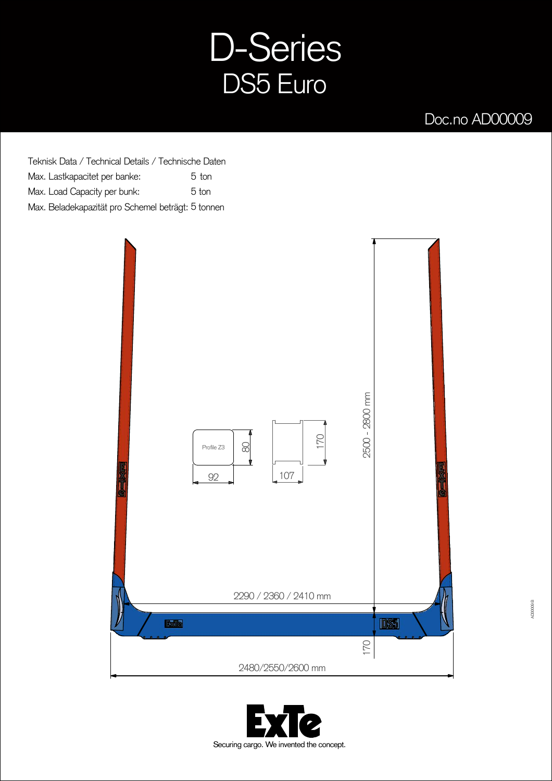## D-Series DS5 Euro

## Doc.no AD00009

Teknisk Data / Technical Details / Technische Daten Max. Lastkapacitet per banke: Max. Load Capacity per bunk: Max. Beladekapazität pro Schemel beträgt: 5 tonnen 5 5



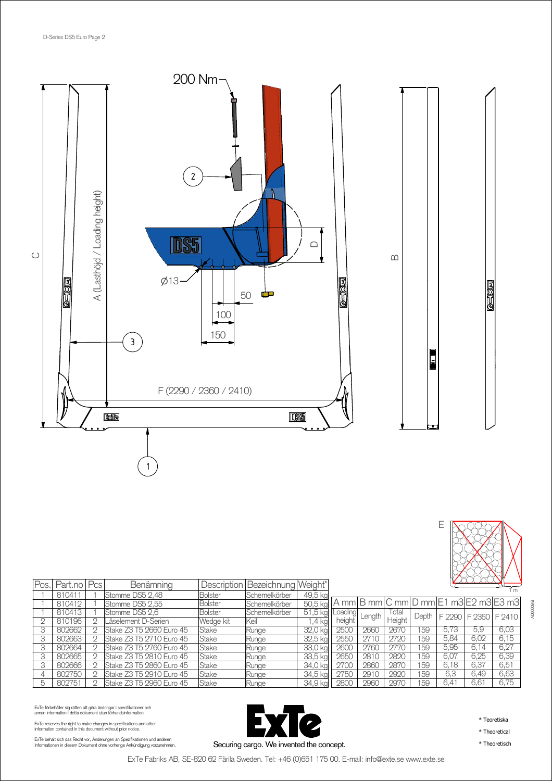



| Pos | Part.no   Pcs | Benämning                |                | Description   Bezeichnung   Weight* |          |                |                     |        |       |      | <u>Kata alam</u>     |                                       |
|-----|---------------|--------------------------|----------------|-------------------------------------|----------|----------------|---------------------|--------|-------|------|----------------------|---------------------------------------|
|     | 810411        | Stomme DS5 2,48          | <b>Bolster</b> | Schemelkörber                       | 49,5 kg  |                |                     |        |       |      |                      |                                       |
|     | 810412        | Stomme DS5 2,55          | <b>Bolster</b> | Schemelkörber                       | 50,5 kg  |                |                     |        |       |      |                      | A mm B mm C mm D mm E1 m3 E2 m3 E3 m3 |
|     | 810413        | Stomme DS5 2,6           | <b>Bolster</b> | Schemelkörber                       | 51.5 kg  | <b>Loading</b> | Length <sup>'</sup> | Iotal  | Depth |      | F 2290 F 2360 F 2410 |                                       |
|     | 810196        | Låselement D-Serien      | Wedge kit      | lKeil                               | 4 ka     | height         |                     | Height |       |      |                      |                                       |
|     | 802662        | Stake Z3 T5 2660 Euro 45 | Stake          | Runge                               | 32,0 kg  | 2500           | 2660                | 2670   | 159   | 5.73 | 5.9                  | 6,03                                  |
| 3   | 802663        | Stake Z3 T5 2710 Euro 45 | Stake          | Runge                               | 32,5 kg  | 2550           | 2710                | 2720   | 159   | 5,84 | 6,02                 | 6.15                                  |
|     | 802664        | Stake Z3 T5 2760 Euro 45 | Stake          | Runge                               | 33,0 kg  | 260C           | 2760                | 2770   | 159   | 5,95 | 6.14                 | 6,27                                  |
|     | 802665        | Stake Z3 T5 2810 Euro 45 | Stake          | Runge                               | 33,5 kg  | 2650           | 2810                | 2820   | 159   | 6,07 | 6,25                 | 6,39                                  |
|     | 802666        | Stake Z3 T5 2860 Euro 45 | Stake          | Runge                               | 34,0 kg  | 2700           | 2860                | 2870   | 159   | 6.18 | 6.37                 | 6.51                                  |
|     | 802750        | Stake Z3 T5 2910 Euro 45 | Stake          | Runge                               | 34.5 kal | 2750           | 2910                | 2920   | 159   | 6.3  | 6.49                 | 6,63                                  |
| h   | 802751        | Stake Z3 T5 2960 Euro 45 | Stake          | Runge                               | 34.9 kal | 2800           | 2960                | 2970   | 159   | 6.41 | 6.61                 | 6.75                                  |

ExTe förbehåller sig rätten att göra ändringar i specifikationer och<br>annan information i detta dokument utan förhandsinformation.

ExTe reserves the right to make changes in specifications and other information contained in this document without prior notice.

ExTe behält sich das Recht vor, Änderungen an Spezifikationen und anderen<br>Informationen in diesem Dokument ohne vorherige Ankündigung vorzunehmen.



\* Teoretiska

\* Theoretical

\* Theoretisch

Securing cargo. We invented the concept. ExTe Fabriks AB, SE-820 62 Färila Sweden. Tel: +46 (0)651 175 00. E-mail: info@exte.se www.exte.se